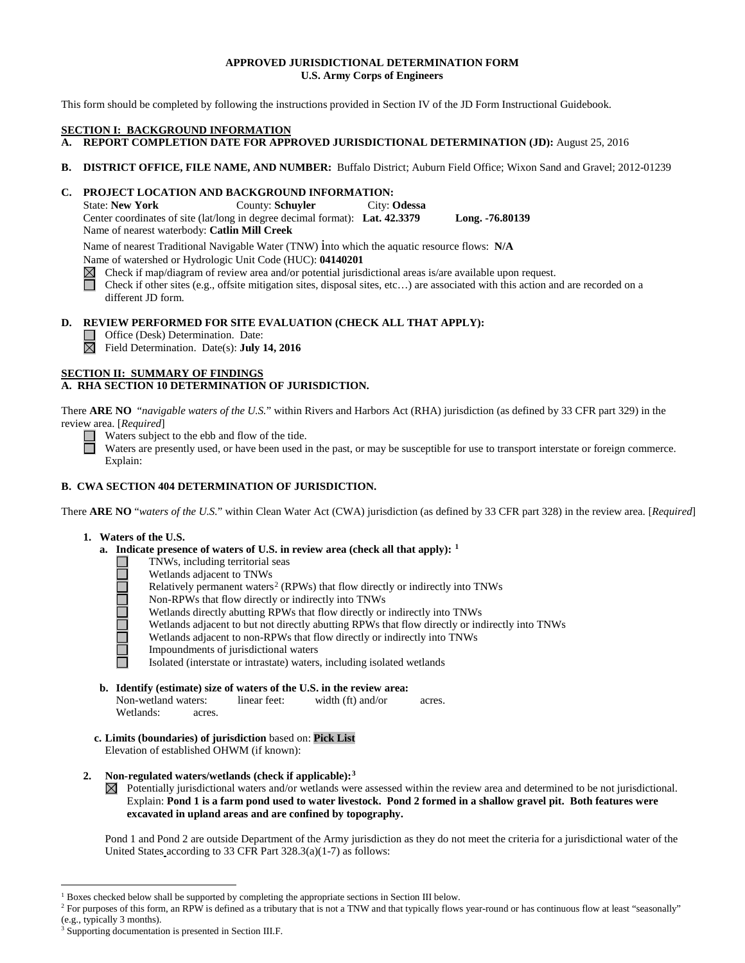### **APPROVED JURISDICTIONAL DETERMINATION FORM U.S. Army Corps of Engineers**

This form should be completed by following the instructions provided in Section IV of the JD Form Instructional Guidebook.

#### **SECTION I: BACKGROUND INFORMATION**

- **A. REPORT COMPLETION DATE FOR APPROVED JURISDICTIONAL DETERMINATION (JD):** August 25, 2016
- **B. DISTRICT OFFICE, FILE NAME, AND NUMBER:** Buffalo District; Auburn Field Office; Wixon Sand and Gravel; 2012-01239

# **C. PROJECT LOCATION AND BACKGROUND INFORMATION:**

State: **New York** County: **Schuyler** City: **Odessa** Center coordinates of site (lat/long in degree decimal format): **Lat. 42.3379 Long. -76.80139** Name of nearest waterbody: **Catlin Mill Creek**

Name of nearest Traditional Navigable Water (TNW) into which the aquatic resource flows: **N/A**

Name of watershed or Hydrologic Unit Code (HUC): **04140201**

Check if map/diagram of review area and/or potential jurisdictional areas is/are available upon request.

Check if other sites (e.g., offsite mitigation sites, disposal sites, etc…) are associated with this action and are recorded on a different JD form.

### **D. REVIEW PERFORMED FOR SITE EVALUATION (CHECK ALL THAT APPLY):**

Office (Desk) Determination. Date:

Field Determination. Date(s): **July 14, 2016**

### **SECTION II: SUMMARY OF FINDINGS**

# **A. RHA SECTION 10 DETERMINATION OF JURISDICTION.**

There **ARE NO** "*navigable waters of the U.S.*" within Rivers and Harbors Act (RHA) jurisdiction (as defined by 33 CFR part 329) in the review area. [*Required*]

Waters subject to the ebb and flow of the tide.

Waters are presently used, or have been used in the past, or may be susceptible for use to transport interstate or foreign commerce. Explain:

# **B. CWA SECTION 404 DETERMINATION OF JURISDICTION.**

There **ARE NO** "*waters of the U.S.*" within Clean Water Act (CWA) jurisdiction (as defined by 33 CFR part 328) in the review area. [*Required*]

### **1. Waters of the U.S.**

□

- **a. Indicate presence of waters of U.S. in review area (check all that apply): [1](#page-0-0)**
	- TNWs, including territorial seas
	- Wetlands adjacent to TNWs
	- Relatively permanent waters<sup>[2](#page-0-1)</sup> (RPWs) that flow directly or indirectly into TNWs
	- 10000000 Non-RPWs that flow directly or indirectly into TNWs
		- Wetlands directly abutting RPWs that flow directly or indirectly into TNWs
		- Wetlands adjacent to but not directly abutting RPWs that flow directly or indirectly into TNWs
		- Wetlands adjacent to non-RPWs that flow directly or indirectly into TNWs
		- Impoundments of jurisdictional waters
		- Isolated (interstate or intrastate) waters, including isolated wetlands
- **b. Identify (estimate) size of waters of the U.S. in the review area:**<br>Non-wetland waters: linear feet: width (ft) and/or Non-wetland waters: linear feet: width (ft) and/or acres. Wetlands: acres.
- **c. Limits (boundaries) of jurisdiction** based on: **Pick List** Elevation of established OHWM (if known):
- **2. Non-regulated waters/wetlands (check if applicable):[3](#page-0-2)**
	- $\boxtimes$  Potentially jurisdictional waters and/or wetlands were assessed within the review area and determined to be not jurisdictional. Explain: **Pond 1 is a farm pond used to water livestock. Pond 2 formed in a shallow gravel pit. Both features were excavated in upland areas and are confined by topography.**

Pond 1 and Pond 2 are outside Department of the Army jurisdiction as they do not meet the criteria for a jurisdictional water of the United States according to 33 CFR Part 328.3(a)(1-7) as follows:

<sup>&</sup>lt;sup>1</sup> Boxes checked below shall be supported by completing the appropriate sections in Section III below.

<span id="page-0-1"></span><span id="page-0-0"></span><sup>&</sup>lt;sup>2</sup> For purposes of this form, an RPW is defined as a tributary that is not a TNW and that typically flows year-round or has continuous flow at least "seasonally" (e.g., typically 3 months).

<span id="page-0-2"></span>Supporting documentation is presented in Section III.F.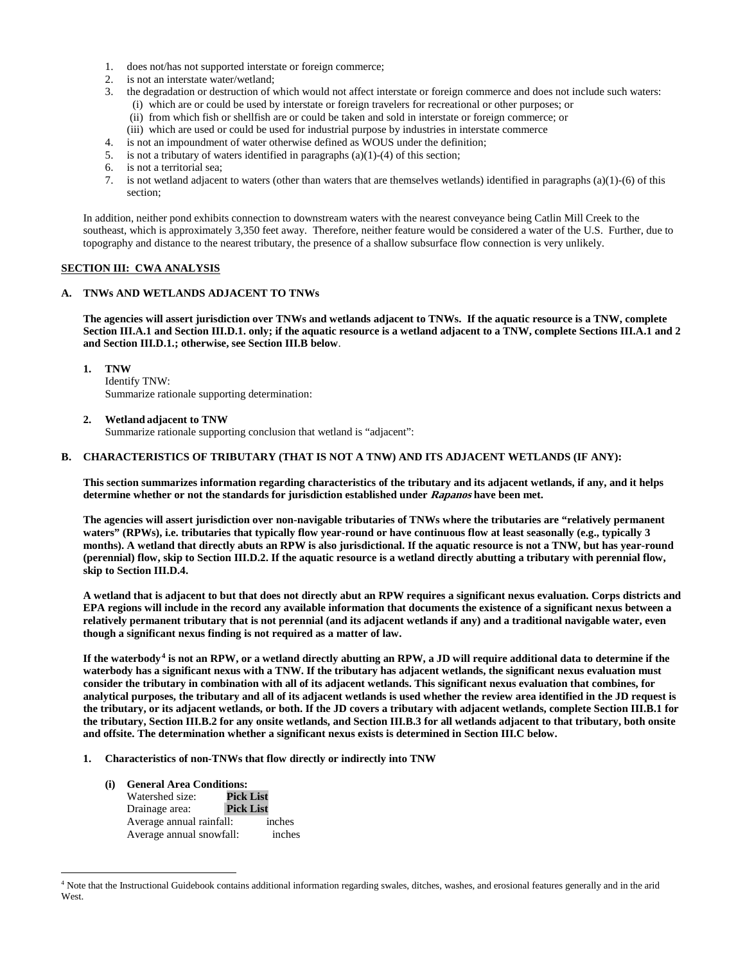- 1. does not/has not supported interstate or foreign commerce;
- 2. is not an interstate water/wetland;
- 3. the degradation or destruction of which would not affect interstate or foreign commerce and does not include such waters: (i) which are or could be used by interstate or foreign travelers for recreational or other purposes; or
	- (ii) from which fish or shellfish are or could be taken and sold in interstate or foreign commerce; or
	- (iii) which are used or could be used for industrial purpose by industries in interstate commerce
- 4. is not an impoundment of water otherwise defined as WOUS under the definition;
- 5. is not a tributary of waters identified in paragraphs (a)(1)-(4) of this section;
- 6. is not a territorial sea;
- 7. is not wetland adjacent to waters (other than waters that are themselves wetlands) identified in paragraphs (a)(1)-(6) of this section;

In addition, neither pond exhibits connection to downstream waters with the nearest conveyance being Catlin Mill Creek to the southeast, which is approximately 3,350 feet away. Therefore, neither feature would be considered a water of the U.S. Further, due to topography and distance to the nearest tributary, the presence of a shallow subsurface flow connection is very unlikely.

# **SECTION III: CWA ANALYSIS**

# **A. TNWs AND WETLANDS ADJACENT TO TNWs**

**The agencies will assert jurisdiction over TNWs and wetlands adjacent to TNWs. If the aquatic resource is a TNW, complete Section III.A.1 and Section III.D.1. only; if the aquatic resource is a wetland adjacent to a TNW, complete Sections III.A.1 and 2 and Section III.D.1.; otherwise, see Section III.B below**.

**1. TNW** 

Identify TNW: Summarize rationale supporting determination:

**2. Wetland adjacent to TNW** 

Summarize rationale supporting conclusion that wetland is "adjacent":

#### **B. CHARACTERISTICS OF TRIBUTARY (THAT IS NOT A TNW) AND ITS ADJACENT WETLANDS (IF ANY):**

**This section summarizes information regarding characteristics of the tributary and its adjacent wetlands, if any, and it helps determine whether or not the standards for jurisdiction established under Rapanos have been met.** 

**The agencies will assert jurisdiction over non-navigable tributaries of TNWs where the tributaries are "relatively permanent waters" (RPWs), i.e. tributaries that typically flow year-round or have continuous flow at least seasonally (e.g., typically 3 months). A wetland that directly abuts an RPW is also jurisdictional. If the aquatic resource is not a TNW, but has year-round (perennial) flow, skip to Section III.D.2. If the aquatic resource is a wetland directly abutting a tributary with perennial flow, skip to Section III.D.4.**

**A wetland that is adjacent to but that does not directly abut an RPW requires a significant nexus evaluation. Corps districts and EPA regions will include in the record any available information that documents the existence of a significant nexus between a relatively permanent tributary that is not perennial (and its adjacent wetlands if any) and a traditional navigable water, even though a significant nexus finding is not required as a matter of law.**

**If the waterbody[4](#page-1-0) is not an RPW, or a wetland directly abutting an RPW, a JD will require additional data to determine if the waterbody has a significant nexus with a TNW. If the tributary has adjacent wetlands, the significant nexus evaluation must consider the tributary in combination with all of its adjacent wetlands. This significant nexus evaluation that combines, for analytical purposes, the tributary and all of its adjacent wetlands is used whether the review area identified in the JD request is the tributary, or its adjacent wetlands, or both. If the JD covers a tributary with adjacent wetlands, complete Section III.B.1 for the tributary, Section III.B.2 for any onsite wetlands, and Section III.B.3 for all wetlands adjacent to that tributary, both onsite and offsite. The determination whether a significant nexus exists is determined in Section III.C below.**

- **1. Characteristics of non-TNWs that flow directly or indirectly into TNW**
	- **(i) General Area Conditions:** Watershed size: **Pick List** Drainage area: Average annual rainfall: inches Average annual snowfall: inches

<span id="page-1-0"></span> <sup>4</sup> Note that the Instructional Guidebook contains additional information regarding swales, ditches, washes, and erosional features generally and in the arid West.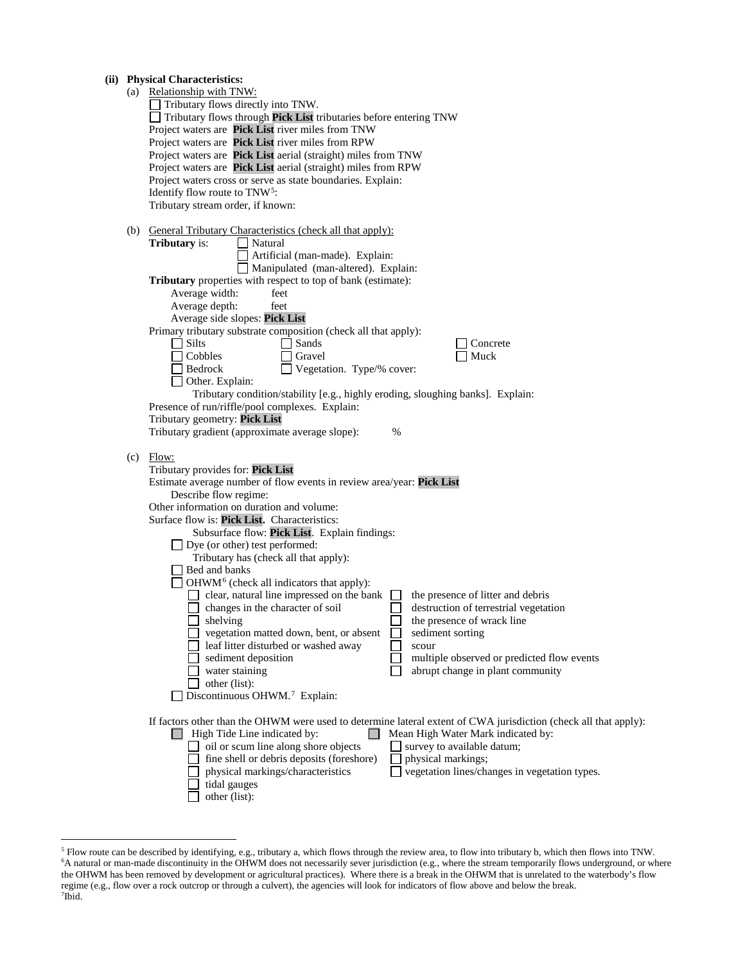# **(ii) Physical Characteristics:**

|                                                                                        | (a) Relationship with TNW:                                                                                                                                       |  |  |  |  |                                       |
|----------------------------------------------------------------------------------------|------------------------------------------------------------------------------------------------------------------------------------------------------------------|--|--|--|--|---------------------------------------|
|                                                                                        | Tributary flows directly into TNW.                                                                                                                               |  |  |  |  |                                       |
|                                                                                        | Tributary flows through Pick List tributaries before entering TNW                                                                                                |  |  |  |  |                                       |
|                                                                                        | Project waters are Pick List river miles from TNW                                                                                                                |  |  |  |  |                                       |
|                                                                                        | Project waters are Pick List river miles from RPW                                                                                                                |  |  |  |  |                                       |
|                                                                                        | Project waters are Pick List aerial (straight) miles from TNW                                                                                                    |  |  |  |  |                                       |
|                                                                                        | Project waters are Pick List aerial (straight) miles from RPW                                                                                                    |  |  |  |  |                                       |
|                                                                                        | Project waters cross or serve as state boundaries. Explain:                                                                                                      |  |  |  |  |                                       |
|                                                                                        |                                                                                                                                                                  |  |  |  |  |                                       |
|                                                                                        | Identify flow route to TNW <sup>5</sup> :                                                                                                                        |  |  |  |  |                                       |
|                                                                                        | Tributary stream order, if known:                                                                                                                                |  |  |  |  |                                       |
|                                                                                        |                                                                                                                                                                  |  |  |  |  |                                       |
|                                                                                        | (b) General Tributary Characteristics (check all that apply):<br><b>Tributary</b> is:<br>Natural                                                                 |  |  |  |  |                                       |
|                                                                                        |                                                                                                                                                                  |  |  |  |  |                                       |
|                                                                                        | Artificial (man-made). Explain:                                                                                                                                  |  |  |  |  |                                       |
|                                                                                        | Manipulated (man-altered). Explain:                                                                                                                              |  |  |  |  |                                       |
|                                                                                        | Tributary properties with respect to top of bank (estimate):                                                                                                     |  |  |  |  |                                       |
|                                                                                        | Average width:<br>feet                                                                                                                                           |  |  |  |  |                                       |
|                                                                                        | Average depth:<br>feet                                                                                                                                           |  |  |  |  |                                       |
|                                                                                        | Average side slopes: Pick List                                                                                                                                   |  |  |  |  |                                       |
|                                                                                        | Primary tributary substrate composition (check all that apply):                                                                                                  |  |  |  |  |                                       |
|                                                                                        | $\Box$ Sands<br>  Silts<br>Concrete                                                                                                                              |  |  |  |  |                                       |
|                                                                                        | Cobbles<br>Muck<br>Gravel                                                                                                                                        |  |  |  |  |                                       |
|                                                                                        | Bedrock<br>Vegetation. Type/% cover:                                                                                                                             |  |  |  |  |                                       |
|                                                                                        | Other. Explain:                                                                                                                                                  |  |  |  |  |                                       |
|                                                                                        | Tributary condition/stability [e.g., highly eroding, sloughing banks]. Explain:                                                                                  |  |  |  |  |                                       |
|                                                                                        | Presence of run/riffle/pool complexes. Explain:                                                                                                                  |  |  |  |  |                                       |
|                                                                                        | Tributary geometry: Pick List                                                                                                                                    |  |  |  |  |                                       |
|                                                                                        | Tributary gradient (approximate average slope):<br>%                                                                                                             |  |  |  |  |                                       |
|                                                                                        |                                                                                                                                                                  |  |  |  |  |                                       |
|                                                                                        | $(c)$ Flow:                                                                                                                                                      |  |  |  |  |                                       |
|                                                                                        | Tributary provides for: Pick List                                                                                                                                |  |  |  |  |                                       |
|                                                                                        | Estimate average number of flow events in review area/year: Pick List                                                                                            |  |  |  |  |                                       |
|                                                                                        |                                                                                                                                                                  |  |  |  |  |                                       |
|                                                                                        | Describe flow regime:                                                                                                                                            |  |  |  |  |                                       |
|                                                                                        | Other information on duration and volume:                                                                                                                        |  |  |  |  |                                       |
|                                                                                        | Surface flow is: Pick List. Characteristics:                                                                                                                     |  |  |  |  |                                       |
| Subsurface flow: Pick List. Explain findings:<br>$\Box$ Dye (or other) test performed: |                                                                                                                                                                  |  |  |  |  |                                       |
|                                                                                        |                                                                                                                                                                  |  |  |  |  | Tributary has (check all that apply): |
|                                                                                        | Bed and banks                                                                                                                                                    |  |  |  |  |                                       |
|                                                                                        | $\Box$ OHWM <sup>6</sup> (check all indicators that apply):                                                                                                      |  |  |  |  |                                       |
|                                                                                        | clear, natural line impressed on the bank<br>the presence of litter and debris<br>$\Box$                                                                         |  |  |  |  |                                       |
|                                                                                        | changes in the character of soil<br>destruction of terrestrial vegetation                                                                                        |  |  |  |  |                                       |
|                                                                                        | shelving<br>the presence of wrack line                                                                                                                           |  |  |  |  |                                       |
|                                                                                        | vegetation matted down, bent, or absent<br>sediment sorting                                                                                                      |  |  |  |  |                                       |
|                                                                                        | leaf litter disturbed or washed away<br>scour                                                                                                                    |  |  |  |  |                                       |
|                                                                                        | sediment deposition<br>multiple observed or predicted flow events                                                                                                |  |  |  |  |                                       |
|                                                                                        | water staining<br>abrupt change in plant community                                                                                                               |  |  |  |  |                                       |
|                                                                                        | other (list):                                                                                                                                                    |  |  |  |  |                                       |
|                                                                                        | Discontinuous OHWM. <sup>7</sup> Explain:                                                                                                                        |  |  |  |  |                                       |
|                                                                                        |                                                                                                                                                                  |  |  |  |  |                                       |
|                                                                                        |                                                                                                                                                                  |  |  |  |  |                                       |
|                                                                                        | If factors other than the OHWM were used to determine lateral extent of CWA jurisdiction (check all that apply):<br>Mean High Water Mark indicated by:<br>$\Box$ |  |  |  |  |                                       |
|                                                                                        | $\Box$ High Tide Line indicated by:<br>survey to available datum;                                                                                                |  |  |  |  |                                       |
|                                                                                        | oil or scum line along shore objects                                                                                                                             |  |  |  |  |                                       |
|                                                                                        | fine shell or debris deposits (foreshore)<br>physical markings;                                                                                                  |  |  |  |  |                                       |
|                                                                                        | physical markings/characteristics<br>vegetation lines/changes in vegetation types.                                                                               |  |  |  |  |                                       |
|                                                                                        | tidal gauges                                                                                                                                                     |  |  |  |  |                                       |
|                                                                                        | other (list):                                                                                                                                                    |  |  |  |  |                                       |
|                                                                                        |                                                                                                                                                                  |  |  |  |  |                                       |

<span id="page-2-2"></span><span id="page-2-1"></span><span id="page-2-0"></span> <sup>5</sup> Flow route can be described by identifying, e.g., tributary a, which flows through the review area, to flow into tributary b, which then flows into TNW. 6 A natural or man-made discontinuity in the OHWM does not necessarily sever jurisdiction (e.g., where the stream temporarily flows underground, or where the OHWM has been removed by development or agricultural practices). Where there is a break in the OHWM that is unrelated to the waterbody's flow regime (e.g., flow over a rock outcrop or through a culvert), the agencies will look for indicators of flow above and below the break. 7 Ibid.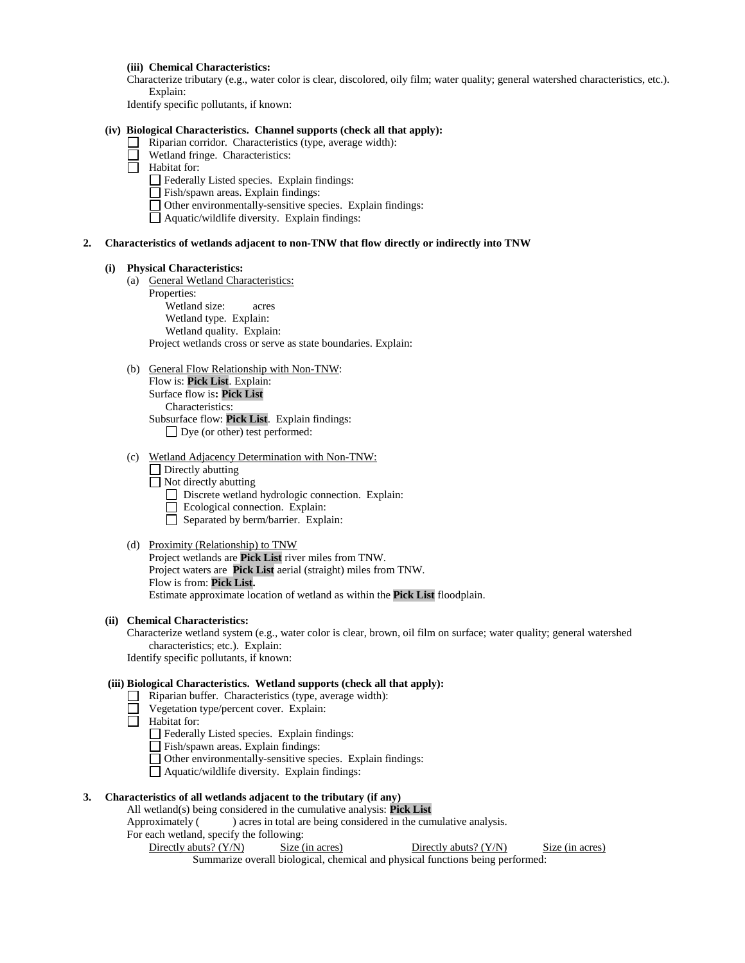#### **(iii) Chemical Characteristics:**

Characterize tributary (e.g., water color is clear, discolored, oily film; water quality; general watershed characteristics, etc.). Explain:

Identify specific pollutants, if known:

#### **(iv) Biological Characteristics. Channel supports (check all that apply):**

- Riparian corridor. Characteristics (type, average width):
	- Wetland fringe. Characteristics:
- Habitat for:
	- $\Box$  Federally Listed species. Explain findings:
	- $\Box$  Fish/spawn areas. Explain findings:
	- Other environmentally-sensitive species. Explain findings:
	- $\Box$  Aquatic/wildlife diversity. Explain findings:

#### **2. Characteristics of wetlands adjacent to non-TNW that flow directly or indirectly into TNW**

#### **(i) Physical Characteristics:**

- (a) General Wetland Characteristics:
	- Properties:

Wetland size: acres Wetland type. Explain: Wetland quality. Explain: Project wetlands cross or serve as state boundaries. Explain:

#### (b) General Flow Relationship with Non-TNW:

Flow is: **Pick List**. Explain: Surface flow is**: Pick List**  Characteristics: Subsurface flow: **Pick List**. Explain findings: □ Dye (or other) test performed:

- (c) Wetland Adjacency Determination with Non-TNW:
	- $\Box$  Directly abutting
	- $\Box$  Not directly abutting
		- Discrete wetland hydrologic connection. Explain:
		- Ecological connection. Explain:
		- $\Box$  Separated by berm/barrier. Explain:

#### (d) Proximity (Relationship) to TNW

Project wetlands are **Pick List** river miles from TNW. Project waters are **Pick List** aerial (straight) miles from TNW. Flow is from: **Pick List.** Estimate approximate location of wetland as within the **Pick List** floodplain.

# **(ii) Chemical Characteristics:**

Characterize wetland system (e.g., water color is clear, brown, oil film on surface; water quality; general watershed characteristics; etc.). Explain:

Identify specific pollutants, if known:

### **(iii) Biological Characteristics. Wetland supports (check all that apply):**

- $\Box$  Riparian buffer. Characteristics (type, average width):
- Vegetation type/percent cover. Explain:
- Habitat for:
	- Federally Listed species. Explain findings:
	- Fish/spawn areas. Explain findings:
	- Other environmentally-sensitive species. Explain findings:
	- Aquatic/wildlife diversity. Explain findings:

#### **3. Characteristics of all wetlands adjacent to the tributary (if any)**

#### All wetland(s) being considered in the cumulative analysis: **Pick List**

Approximately () acres in total are being considered in the cumulative analysis.

For each wetland, specify the following:

Directly abuts? (Y/N) Size (in acres) Directly abuts? (Y/N) Size (in acres)

Summarize overall biological, chemical and physical functions being performed: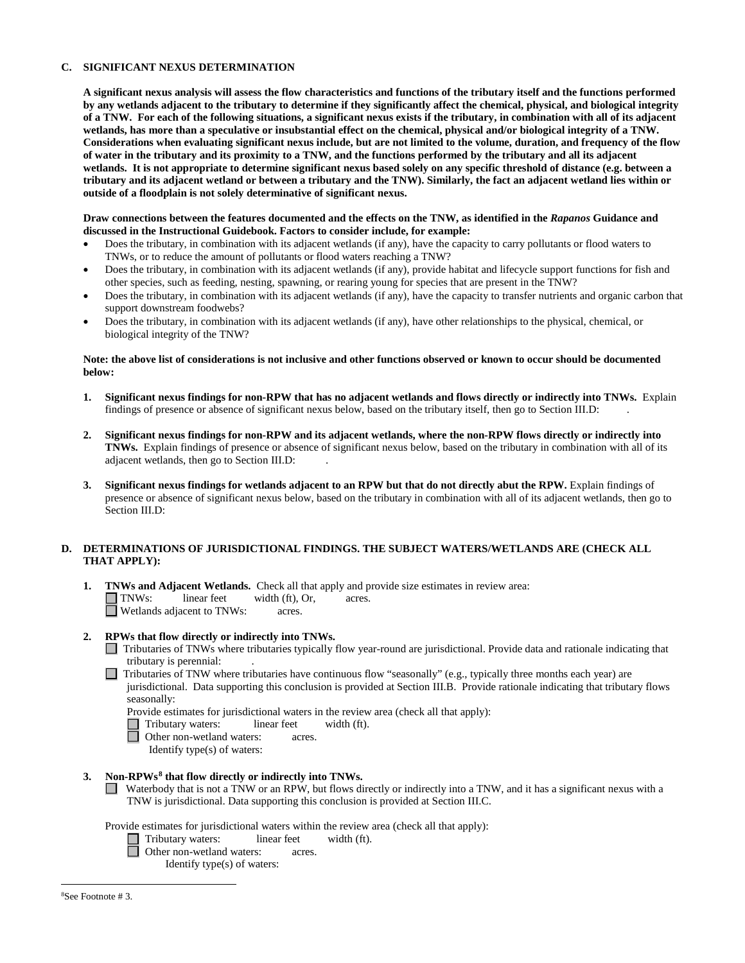#### **C. SIGNIFICANT NEXUS DETERMINATION**

**A significant nexus analysis will assess the flow characteristics and functions of the tributary itself and the functions performed by any wetlands adjacent to the tributary to determine if they significantly affect the chemical, physical, and biological integrity of a TNW. For each of the following situations, a significant nexus exists if the tributary, in combination with all of its adjacent wetlands, has more than a speculative or insubstantial effect on the chemical, physical and/or biological integrity of a TNW. Considerations when evaluating significant nexus include, but are not limited to the volume, duration, and frequency of the flow of water in the tributary and its proximity to a TNW, and the functions performed by the tributary and all its adjacent wetlands. It is not appropriate to determine significant nexus based solely on any specific threshold of distance (e.g. between a tributary and its adjacent wetland or between a tributary and the TNW). Similarly, the fact an adjacent wetland lies within or outside of a floodplain is not solely determinative of significant nexus.** 

#### **Draw connections between the features documented and the effects on the TNW, as identified in the** *Rapanos* **Guidance and discussed in the Instructional Guidebook. Factors to consider include, for example:**

- Does the tributary, in combination with its adjacent wetlands (if any), have the capacity to carry pollutants or flood waters to TNWs, or to reduce the amount of pollutants or flood waters reaching a TNW?
- Does the tributary, in combination with its adjacent wetlands (if any), provide habitat and lifecycle support functions for fish and other species, such as feeding, nesting, spawning, or rearing young for species that are present in the TNW?
- Does the tributary, in combination with its adjacent wetlands (if any), have the capacity to transfer nutrients and organic carbon that support downstream foodwebs?
- Does the tributary, in combination with its adjacent wetlands (if any), have other relationships to the physical, chemical, or biological integrity of the TNW?

#### **Note: the above list of considerations is not inclusive and other functions observed or known to occur should be documented below:**

- **1. Significant nexus findings for non-RPW that has no adjacent wetlands and flows directly or indirectly into TNWs.** Explain findings of presence or absence of significant nexus below, based on the tributary itself, then go to Section III.D: .
- **2. Significant nexus findings for non-RPW and its adjacent wetlands, where the non-RPW flows directly or indirectly into TNWs.** Explain findings of presence or absence of significant nexus below, based on the tributary in combination with all of its adjacent wetlands, then go to Section III.D: .
- **3. Significant nexus findings for wetlands adjacent to an RPW but that do not directly abut the RPW.** Explain findings of presence or absence of significant nexus below, based on the tributary in combination with all of its adjacent wetlands, then go to Section III.D:

#### **D. DETERMINATIONS OF JURISDICTIONAL FINDINGS. THE SUBJECT WATERS/WETLANDS ARE (CHECK ALL THAT APPLY):**

**1. TNWs and Adjacent Wetlands.** Check all that apply and provide size estimates in review area:  $\Box$  **TNWs:** linear feet width (ft), Or, acres. width (ft), Or, acres.<br>acres.  $\Box$  Wetlands adjacent to TNWs:

### **2. RPWs that flow directly or indirectly into TNWs.**

- Tributaries of TNWs where tributaries typically flow year-round are jurisdictional. Provide data and rationale indicating that tributary is perennial: .
- $\Box$  Tributaries of TNW where tributaries have continuous flow "seasonally" (e.g., typically three months each year) are jurisdictional. Data supporting this conclusion is provided at Section III.B. Provide rationale indicating that tributary flows seasonally:
	- Provide estimates for jurisdictional waters in the review area (check all that apply):<br>
	Tributary waters: linear feet width (ft).
	- Tributary waters: linear feet width (ft).
	- Other non-wetland waters: acres.
		- Identify type(s) of waters:

### **3. Non-RPWs[8](#page-4-0) that flow directly or indirectly into TNWs.**

Waterbody that is not a TNW or an RPW, but flows directly or indirectly into a TNW, and it has a significant nexus with a TNW is jurisdictional. Data supporting this conclusion is provided at Section III.C.

<span id="page-4-0"></span>Provide estimates for jurisdictional waters within the review area (check all that apply):<br>
Tributary waters: linear feet width (ft).

- Tributary waters: **Other non-wetland waters: acres.** 
	- Identify type(s) of waters: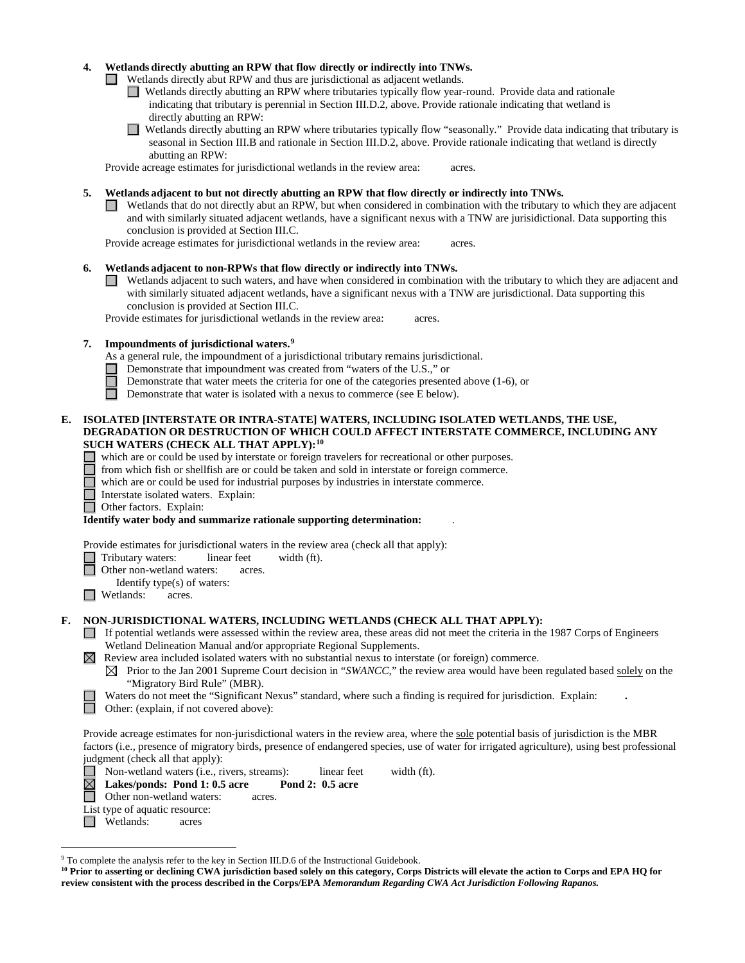#### **4. Wetlands directly abutting an RPW that flow directly or indirectly into TNWs.**

Wetlands directly abut RPW and thus are jurisdictional as adjacent wetlands.

- Wetlands directly abutting an RPW where tributaries typically flow year-round. Provide data and rationale indicating that tributary is perennial in Section III.D.2, above. Provide rationale indicating that wetland is directly abutting an RPW:
- Wetlands directly abutting an RPW where tributaries typically flow "seasonally." Provide data indicating that tributary is  $\Box$ seasonal in Section III.B and rationale in Section III.D.2, above. Provide rationale indicating that wetland is directly abutting an RPW:

Provide acreage estimates for jurisdictional wetlands in the review area: acres.

- **5. Wetlands adjacent to but not directly abutting an RPW that flow directly or indirectly into TNWs.**
	- Wetlands that do not directly abut an RPW, but when considered in combination with the tributary to which they are adjacent and with similarly situated adjacent wetlands, have a significant nexus with a TNW are jurisidictional. Data supporting this conclusion is provided at Section III.C.

Provide acreage estimates for jurisdictional wetlands in the review area: acres.

### **6. Wetlands adjacent to non-RPWs that flow directly or indirectly into TNWs.**

Wetlands adjacent to such waters, and have when considered in combination with the tributary to which they are adjacent and with similarly situated adjacent wetlands, have a significant nexus with a TNW are jurisdictional. Data supporting this conclusion is provided at Section III.C.

Provide estimates for jurisdictional wetlands in the review area: acres.

### **7. Impoundments of jurisdictional waters. [9](#page-5-0)**

- As a general rule, the impoundment of a jurisdictional tributary remains jurisdictional.
- Demonstrate that impoundment was created from "waters of the U.S.," or
- Demonstrate that water meets the criteria for one of the categories presented above (1-6), or
- П Demonstrate that water is isolated with a nexus to commerce (see E below).

#### **E. ISOLATED [INTERSTATE OR INTRA-STATE] WATERS, INCLUDING ISOLATED WETLANDS, THE USE, DEGRADATION OR DESTRUCTION OF WHICH COULD AFFECT INTERSTATE COMMERCE, INCLUDING ANY SUCH WATERS (CHECK ALL THAT APPLY):[10](#page-5-1)**

- which are or could be used by interstate or foreign travelers for recreational or other purposes.
- from which fish or shellfish are or could be taken and sold in interstate or foreign commerce.
- which are or could be used for industrial purposes by industries in interstate commerce.
- Interstate isolated waters.Explain:

Other factors.Explain:

**Identify water body and summarize rationale supporting determination:** .

Provide estimates for jurisdictional waters in the review area (check all that apply):

Tributary waters: linear feet width (ft).

- Other non-wetland waters: acres.
- Identify type(s) of waters:
- $\Box$  Wetlands: acres.

# **F. NON-JURISDICTIONAL WATERS, INCLUDING WETLANDS (CHECK ALL THAT APPLY):**

- $\Box$  If potential wetlands were assessed within the review area, these areas did not meet the criteria in the 1987 Corps of Engineers Wetland Delineation Manual and/or appropriate Regional Supplements.
- $\boxtimes$  Review area included isolated waters with no substantial nexus to interstate (or foreign) commerce.
	- $\boxtimes$  Prior to the Jan 2001 Supreme Court decision in "*SWANCC*," the review area would have been regulated based solely on the "Migratory Bird Rule" (MBR).
	- Waters do not meet the "Significant Nexus" standard, where such a finding is required for jurisdiction. Explain: **.**
	- Other: (explain, if not covered above):

Provide acreage estimates for non-jurisdictional waters in the review area, where the sole potential basis of jurisdiction is the MBR factors (i.e., presence of migratory birds, presence of endangered species, use of water for irrigated agriculture), using best professional judgment (check all that apply):

■ Non-wetland waters (i.e., rivers, streams): linear feet width (ft).<br>**△ Lakes/ponds: Pond 1: 0.5 acre Pond 2: 0.5 acre** 

**Lakes/ponds: Pond 1: 0.5 acre Pond 2: 0.5 acre** 

- Other non-wetland waters: acres.
- List type of aquatic resource:
- Wetlands: acres

<span id="page-5-0"></span> <sup>9</sup> To complete the analysis refer to the key in Section III.D.6 of the Instructional Guidebook.

<span id="page-5-1"></span>**<sup>10</sup> Prior to asserting or declining CWA jurisdiction based solely on this category, Corps Districts will elevate the action to Corps and EPA HQ for review consistent with the process described in the Corps/EPA** *Memorandum Regarding CWA Act Jurisdiction Following Rapanos.*